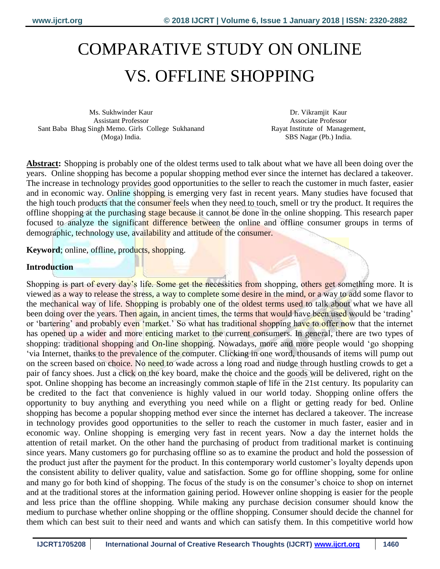# COMPARATIVE STUDY ON ONLINE VS. OFFLINE SHOPPING

Ms. Sukhwinder Kaur Assistant Professor Sant Baba Bhag Singh Memo. Girls College Sukhanand (Moga) India.

Dr. Vikramjit Kaur Associate Professor Rayat Institute of Management, SBS Nagar (Pb.) India.

**Abstract:** Shopping is probably one of the oldest terms used to talk about what we have all been doing over the years. Online shopping has become a popular shopping method ever since the internet has declared a takeover. The increase in technology provides good opportunities to the seller to reach the customer in much faster, easier and in economic way. Online shopping is emerging very fast in recent years. Many studies have focused that the high touch products that the consumer feels when they need to touch, smell or try the product. It requires the offline shopping at the purchasing stage because it cannot be done in the online shopping. This research paper focused to analyze the significant difference between the online and offline consumer groups in terms of demographic, technology use, availability and attitude of the consumer.

**Keyword**; online, offline, products, shopping.

#### **Introduction**

Shopping is part of every day's life. Some get the necessities from shopping, others get something more. It is viewed as a way to release the stress, a way to complete some desire in the mind, or a way to add some flavor to the mechanical way of life. Shopping is probably one of the oldest terms used to talk about what we have all been doing over the years. Then again, in ancient times, the terms that would have been used would be 'trading' or 'bartering' and probably even 'market.' So what has traditional shopping have to offer now that the internet has opened up a wider and more enticing market to the current consumers. In general, there are two types of shopping: traditional shopping and On-line shopping. Nowadays, more and more people would 'go shopping 'via Internet, thanks to the prevalence of the computer. Clicking in one word, thousands of items will pump out on the screen based on choice. No need to wade across a long road and nudge through hustling crowds to get a pair of fancy shoes. Just a click on the key board, make the choice and the goods will be delivered, right on the spot. Online shopping has become an increasingly common staple of life in the 21st century. Its popularity can be credited to the fact that convenience is highly valued in our world today. Shopping online offers the opportunity to buy anything and everything you need while on a flight or getting ready for bed. Online shopping has become a popular shopping method ever since the internet has declared a takeover. The increase in technology provides good opportunities to the seller to reach the customer in much faster, easier and in economic way. Online shopping is emerging very fast in recent years. Now a day the internet holds the attention of retail market. On the other hand the purchasing of product from traditional market is continuing since years. Many customers go for purchasing offline so as to examine the product and hold the possession of the product just after the payment for the product. In this contemporary world customer's loyalty depends upon the consistent ability to deliver quality, value and satisfaction. Some go for offline shopping, some for online and many go for both kind of shopping. The focus of the study is on the consumer's choice to shop on internet and at the traditional stores at the information gaining period. However online shopping is easier for the people and less price than the offline shopping. While making any purchase decision consumer should know the medium to purchase whether online shopping or the offline shopping. Consumer should decide the channel for them which can best suit to their need and wants and which can satisfy them. In this competitive world how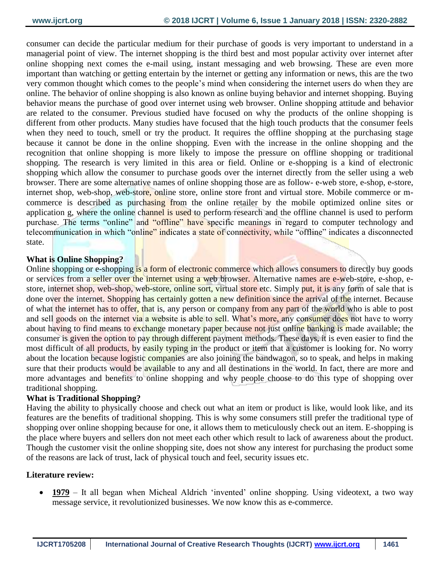consumer can decide the particular medium for their purchase of goods is very important to understand in a managerial point of view. The internet shopping is the third best and most popular activity over internet after online shopping next comes the e-mail using, instant messaging and web browsing. These are even more important than watching or getting entertain by the internet or getting any information or news, this are the two very common thought which comes to the people's mind when considering the internet users do when they are online. The behavior of online shopping is also known as online buying behavior and internet shopping. Buying behavior means the purchase of good over internet using web browser. Online shopping attitude and behavior are related to the consumer. Previous studied have focused on why the products of the online shopping is different from other products. Many studies have focused that the high touch products that the consumer feels when they need to touch, smell or try the product. It requires the offline shopping at the purchasing stage because it cannot be done in the online shopping. Even with the increase in the online shopping and the recognition that online shopping is more likely to impose the pressure on offline shopping or traditional shopping. The research is very limited in this area or field. Online or e-shopping is a kind of electronic shopping which allow the consumer to purchase goods over the internet directly from the seller using a web browser. There are some alternative names of online shopping those are as follow- e-web store, e-shop, e-store, internet shop, web-shop, web-store, online store, online store front and virtual store. Mobile commerce or mcommerce is described as purchasing from the online retailer by the mobile optimized online sites or application g, where the online channel is used to perform research and the offline channel is used to perform purchase. The terms "online" and "offline" have specific meanings in regard to computer technology and telecommunication in which "online" indicates a state of connectivity, while "offline" indicates a disconnected state.

#### **What is Online Shopping?**

Online shopping or e-shopping is a form of electronic commerce which allows consumers to directly buy goods or services from a seller over the internet using a web browser. Alternative names are e-web-store, e-shop, estore, internet shop, web-shop, web-store, online sort, virtual store etc. Simply put, it is any form of sale that is done over the internet. Shopping has certainly gotten a new definition since the arrival of the internet. Because of what the internet has to offer, that is, any person or company from any part of the world who is able to post and sell goods on the internet via a website is able to sell. What's more, any consumer does not have to worry about having to find means to exchange monetary paper because not just online banking is made available; the consumer is given the option to pay through different payment methods. These days, it is even easier to find the most difficult of all products, by easily typing in the product or item that a customer is looking for. No worry about the location because logistic companies are also joining the bandwagon, so to speak, and helps in making sure that their products would be available to any and all destinations in the world. In fact, there are more and more advantages and benefits to online shopping and why people choose to do this type of shopping over traditional shopping.

#### **What is Traditional Shopping?**

Having the ability to physically choose and check out what an item or product is like, would look like, and its features are the benefits of traditional shopping. This is why some consumers still prefer the traditional type of shopping over online shopping because for one, it allows them to meticulously check out an item. E-shopping is the place where buyers and sellers don not meet each other which result to lack of awareness about the product. Though the customer visit the online shopping site, does not show any interest for purchasing the product some of the reasons are lack of trust, lack of physical touch and feel, security issues etc.

#### **Literature review:**

 **1979** – It all began when Micheal Aldrich 'invented' online shopping. Using videotext, a two way message service, it revolutionized businesses. We now know this as e-commerce.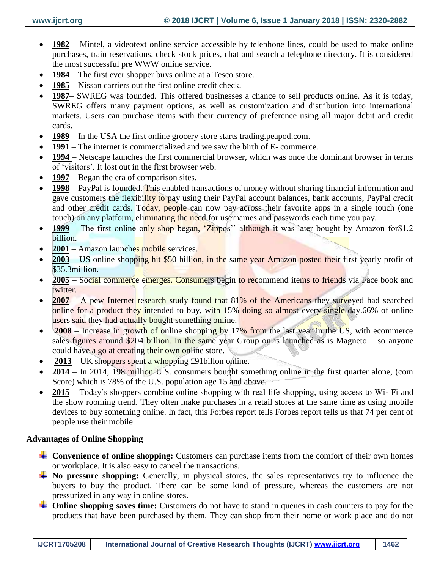- **1982** Mintel, a videotext online service accessible by telephone lines, could be used to make online purchases, train reservations, check stock prices, chat and search a telephone directory. It is considered the most successful pre WWW online service.
- **1984** The first ever shopper buys online at a Tesco store.
- **1985** Nissan carriers out the first online credit check.
- **1987** SWREG was founded. This offered businesses a chance to sell products online. As it is today, SWREG offers many payment options, as well as customization and distribution into international markets. Users can purchase items with their currency of preference using all major debit and credit cards.
- **1989** In the USA the first online grocery store starts trading.peapod.com.
- **1991** The internet is commercialized and we saw the birth of E- commerce.
- **1994**  Netscape launches the first commercial browser, which was once the dominant browser in terms of 'visitors'. It lost out in the first browser web.
- **1997** Began the era of comparison sites.
- **1998** PayPal is founded. This enabled transactions of money without sharing financial information and gave customers the flexibility to pay using their PayPal account balances, bank accounts, PayPal credit and other credit cards. Today, people can now pay across their favorite apps in a single touch (one touch) on any platform, eliminating the need for usernames and passwords each time you pay.
- **1999** The first online only shop began, 'Zippos'' although it was later bought by Amazon for \$1.2 billion.
- **2001** Amazon launches mobile services.
- **2003** US online shopping hit \$50 billion, in the same year Amazon posted their first yearly profit of \$35.3million.
- 2005 Social commerce emerges. Consumers begin to recommend items to friends via Face book and twitter.
- **2007** A pew Internet research study found that 81% of the Americans they surveyed had searched online for a product they intended to buy, with 15% doing so almost every single day.66% of online users said they had actually bought something online.
- **2008** Increase in growth of online shopping by 17% from the last year in the US, with ecommerce sales figures around \$204 billion. In the same year Group on is launched as is Magneto – so anyone could have a go at creating their own online store.
- **2013** UK shoppers spent a whopping £91billon online.
- **2014** In 2014, 198 million U.S. consumers bought something online in the first quarter alone, (com Score) which is 78% of the U.S. population age 15 and above.
- 2015 Today's shoppers combine online shopping with real life shopping, using access to Wi- Fi and the show rooming trend. They often make purchases in a retail stores at the same time as using mobile devices to buy something online. In fact, this Forbes report tells Forbes report tells us that 74 per cent of people use their mobile.

#### **Advantages of Online Shopping**

- **Convenience of online shopping:** Customers can purchase items from the comfort of their own homes or workplace. It is also easy to cancel the transactions.
- **No pressure shopping:** Generally, in physical stores, the sales representatives try to influence the buyers to buy the product. There can be some kind of pressure, whereas the customers are not pressurized in any way in online stores.
- $\blacktriangle$  Online shopping saves time: Customers do not have to stand in queues in cash counters to pay for the products that have been purchased by them. They can shop from their home or work place and do not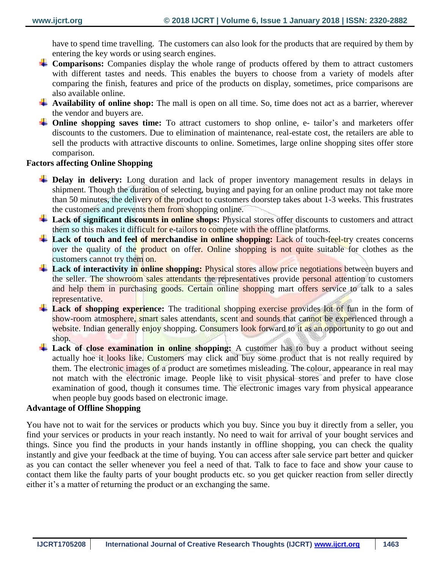have to spend time travelling. The customers can also look for the products that are required by them by entering the key words or using search engines.

- **Comparisons:** Companies display the whole range of products offered by them to attract customers with different tastes and needs. This enables the buyers to choose from a variety of models after comparing the finish, features and price of the products on display, sometimes, price comparisons are also available online.
- **Availability of online shop:** The mall is open on all time. So, time does not act as a barrier, wherever the vendor and buyers are.
- **The Shopping saves time:** To attract customers to shop online, e- tailor's and marketers offer discounts to the customers. Due to elimination of maintenance, real-estate cost, the retailers are able to sell the products with attractive discounts to online. Sometimes, large online shopping sites offer store comparison.

## **Factors affecting Online Shopping**

- **Delay in delivery:** Long duration and lack of proper inventory management results in delays in shipment. Though the duration of selecting, buying and paying for an online product may not take more than 50 minutes, the delivery of the product to customers doorstep takes about 1-3 weeks. This frustrates the customers and prevents them from shopping online.
- **Lack of significant discounts in online shops:** Physical stores offer discounts to customers and attract them so this makes it difficult for e-tailors to compete with the offline platforms.
- <sup>1</sup> Lack of touch and feel of merchandise in online shopping: Lack of touch-feel-try creates concerns over the quality of the product on offer. Online shopping is not quite suitable for clothes as the customers cannot try them on.
- **Lack of interactivity in online shopping:** Physical stores allow price negotiations between buyers and the seller. The showroom sales attendants the representatives provide personal attention to customers and help them in purchasing goods. Certain online shopping mart offers service to talk to a sales representative.
- **Lack of shopping experience:** The traditional shopping exercise provides lot of fun in the form of show-room atmosphere, smart sales attendants, scent and sounds that cannot be experienced through a website. Indian generally enjoy shopping. Consumers look forward to it as an opportunity to go out and shop.
- **Lack of close examination in online shopping:** A customer has to buy a product without seeing actually hoe it looks like. Customers may click and buy some product that is not really required by them. The electronic images of a product are sometimes misleading. The colour, appearance in real may not match with the electronic image. People like to visit physical stores and prefer to have close examination of good, though it consumes time. The electronic images vary from physical appearance when people buy goods based on electronic image.

## **Advantage of Offline Shopping**

You have not to wait for the services or products which you buy. Since you buy it directly from a seller, you find your services or products in your reach instantly. No need to wait for arrival of your bought services and things. Since you find the products in your hands instantly in offline shopping, you can check the quality instantly and give your feedback at the time of buying. You can access after sale service part better and quicker as you can contact the seller whenever you feel a need of that. Talk to face to face and show your cause to contact them like the faulty parts of your bought products etc. so you get quicker reaction from seller directly either it's a matter of returning the product or an exchanging the same.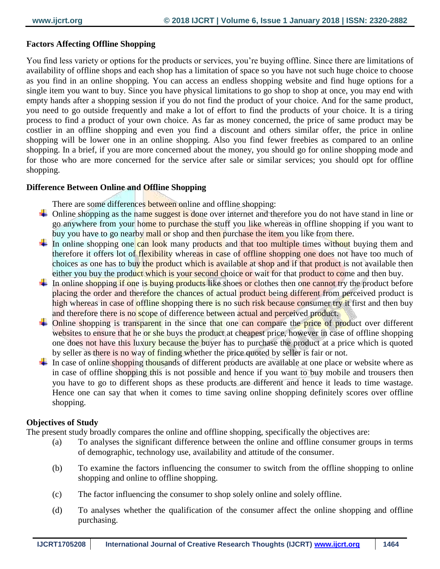### **Factors Affecting Offline Shopping**

You find less variety or options for the products or services, you're buying offline. Since there are limitations of availability of offline shops and each shop has a limitation of space so you have not such huge choice to choose as you find in an online shopping. You can access an endless shopping website and find huge options for a single item you want to buy. Since you have physical limitations to go shop to shop at once, you may end with empty hands after a shopping session if you do not find the product of your choice. And for the same product, you need to go outside frequently and make a lot of effort to find the products of your choice. It is a tiring process to find a product of your own choice. As far as money concerned, the price of same product may be costlier in an offline shopping and even you find a discount and others similar offer, the price in online shopping will be lower one in an online shopping. Also you find fewer freebies as compared to an online shopping. In a brief, if you are more concerned about the money, you should go for online shopping mode and for those who are more concerned for the service after sale or similar services; you should opt for offline shopping.

#### **Difference Between Online and Offline Shopping**

There are some differences between online and offline shopping:

- $\triangle$  Online shopping as the name suggest is done over internet and therefore you do not have stand in line or go anywhere from your home to purchase the stuff you like whereas in offline shopping if you want to buy you have to go nearby mall or shop and then purchase the item you like from there.
- In online shopping one can look many products and that too multiple times without buying them and therefore it offers lot of flexibility whereas in case of offline shopping one does not have too much of choices as one has to buy the product which is available at shop and if that product is not available then either you buy the product which is your second choice or wait for that product to come and then buy.
- In online shopping if one is buying products like shoes or clothes then one cannot try the product before placing the order and therefore the chances of actual product being different from perceived product is high whereas in case of offline shopping there is no such risk because consumer try it first and then buy and therefore there is no scope of difference between actual and perceived product.
- $\overline{\phantom{a}}$  Online shopping is transparent in the since that one can compare the price of product over different websites to ensure that he or she buys the product at cheapest price, however in case of offline shopping one does not have this luxury because the buyer has to purchase the product at a price which is quoted by seller as there is no way of finding whether the price quoted by seller is fair or not.
- In case of online shopping thousands of different products are available at one place or website where as in case of offline shopping this is not possible and hence if you want to buy mobile and trousers then you have to go to different shops as these products are different and hence it leads to time wastage. Hence one can say that when it comes to time saving online shopping definitely scores over offline shopping.

#### **Objectives of Study**

The present study broadly compares the online and offline shopping, specifically the objectives are:

- (a) To analyses the significant difference between the online and offline consumer groups in terms of demographic, technology use, availability and attitude of the consumer.
- (b) To examine the factors influencing the consumer to switch from the offline shopping to online shopping and online to offline shopping.
- (c) The factor influencing the consumer to shop solely online and solely offline.
- (d) To analyses whether the qualification of the consumer affect the online shopping and offline purchasing.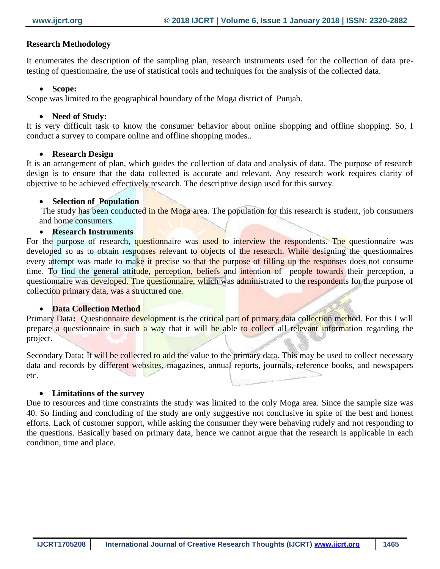#### **Research Methodology**

It enumerates the description of the sampling plan, research instruments used for the collection of data pretesting of questionnaire, the use of statistical tools and techniques for the analysis of the collected data.

#### **Scope:**

Scope was limited to the geographical boundary of the Moga district of Punjab.

### **Need of Study:**

It is very difficult task to know the consumer behavior about online shopping and offline shopping. So, I conduct a survey to compare online and offline shopping modes..

#### **Research Design**

It is an arrangement of plan, which guides the collection of data and analysis of data. The purpose of research design is to ensure that the data collected is accurate and relevant. Any research work requires clarity of objective to be achieved effectively research. The descriptive design used for this survey.

### **Selection of Population**

The study has been conducted in the Moga area. The population for this research is student, job consumers and home consumers.

#### **Research Instruments**

For the purpose of research, questionnaire was used to interview the respondents. The questionnaire was developed so as to obtain responses relevant to objects of the research. While designing the questionnaires every attempt was made to make it precise so that the purpose of filling up the responses does not consume time. To find the general attitude, perception, beliefs and intention of people towards their perception, a questionnaire was developed. The questionnaire, which was administrated to the respondents for the purpose of collection primary data, was a structured one.

#### **• Data Collection Method**

Primary Data: Questionnaire development is the critical part of primary data collection method. For this I will prepare a questionnaire in such a way that it will be able to collect all relevant information regarding the project.

Secondary Data: It will be collected to add the value to the primary data. This may be used to collect necessary data and records by different websites, magazines, annual reports, journals, reference books, and newspapers etc. **RESERVATION** 

#### **Limitations of the survey**

Due to resources and time constraints the study was limited to the only Moga area. Since the sample size was 40. So finding and concluding of the study are only suggestive not conclusive in spite of the best and honest efforts. Lack of customer support, while asking the consumer they were behaving rudely and not responding to the questions. Basically based on primary data, hence we cannot argue that the research is applicable in each condition, time and place.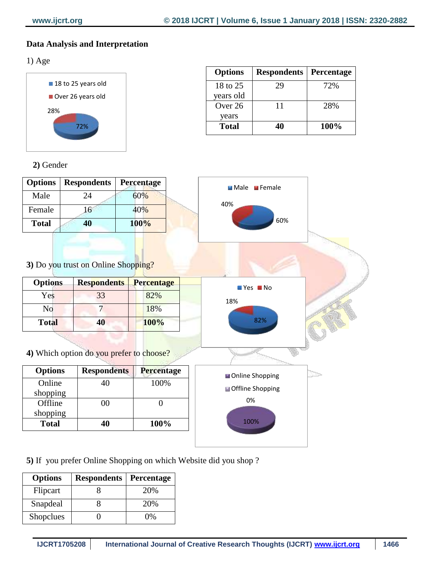# **Data Analysis and Interpretation**

1) Age



| <b>Options</b> | <b>Respondents</b> | Percentage |
|----------------|--------------------|------------|
| 18 to 25       | 29                 | 72%        |
| years old      |                    |            |
| Over 26        | 11                 | 28%        |
| years          |                    |            |
| Total          |                    | 100%       |

 **2)** Gender

| <b>Options</b> | <b>Respondents</b> | <b>Percentage</b> |  |
|----------------|--------------------|-------------------|--|
| Male           | 24                 | 60%               |  |
| Female         | 16                 | 40%               |  |
| <b>Total</b>   | 40                 | 100%              |  |



**3)** Do you trust on Online Shopping?

| <b>Options</b> | <b>Respondents</b> | <b>Percentage</b> |
|----------------|--------------------|-------------------|
| Yes            | 33                 | 82%               |
| No             |                    | 18%               |
| <b>Total</b>   | 10                 | 100%              |

**4)** Which option do you prefer to choose?

| <b>Options</b> | <b>Respondents</b> | Percentage |
|----------------|--------------------|------------|
| Online         | 40                 | 100%       |
| shopping       |                    |            |
| Offline        | ററ                 |            |
| shopping       |                    |            |
| <b>Total</b>   | 40                 | 100%       |

**5)** If you prefer Online Shopping on which Website did you shop ?

| <b>Options</b> | <b>Respondents</b> | Percentage |
|----------------|--------------------|------------|
| Flipcart       |                    | 20%        |
| Snapdeal       |                    | 20%        |
| Shopclues      |                    | $^{10\%}$  |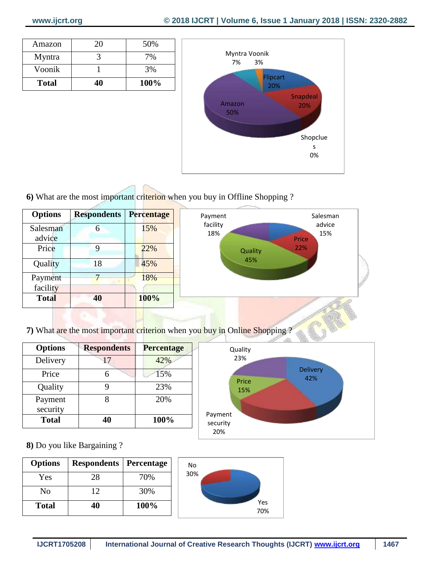| Amazon       | 20 | 50%  |
|--------------|----|------|
| Myntra       |    | 7%   |
| Voonik       |    | 3%   |
| <b>Total</b> |    | 100% |



**6)** What are the most important criterion when you buy in Offline Shopping ?

| <b>Options</b>      | <b>Respondents Percentage</b> |      | Payment         | Salesman      |
|---------------------|-------------------------------|------|-----------------|---------------|
| Salesman<br>advice  | 6                             | 15%  | facility<br>18% | advice<br>15% |
| Price               | 9                             | 22%  | Quality         | Price<br>22%  |
| Quality             | 18                            | 45%  | 45%             |               |
| Payment<br>facility | $\mathbf{r}$                  | 18%  |                 |               |
| <b>Total</b>        | 40                            | 100% |                 |               |

**7)** What are the most important criterion when you buy in Online Shopping ?

| <b>Options</b>      | <b>Respondents</b><br><b>Percentage</b> |      |
|---------------------|-----------------------------------------|------|
| Delivery            | 17                                      | 42%  |
| Price               |                                         | 15%  |
| Quality             |                                         | 23%  |
| Payment<br>security |                                         | 20%  |
| <b>Total</b>        | 40                                      | 100% |



**8)** Do you like Bargaining ?

| <b>Options</b> | <b>Respondents   Percentage</b> |      |
|----------------|---------------------------------|------|
| Yes            | 28                              | 70%  |
| No             | 12                              | 30%  |
| <b>Total</b>   | 40                              | 100% |

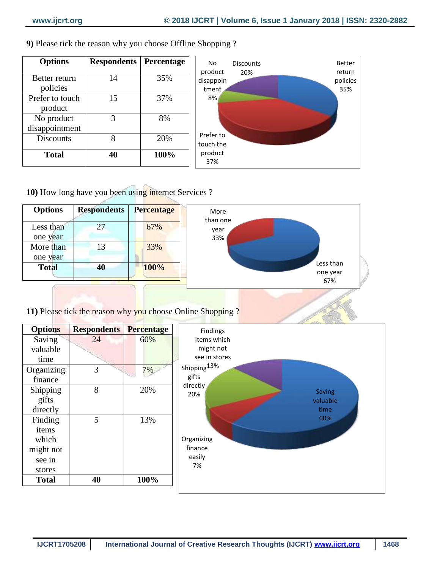| 9) Please tick the reason why you choose Offline Shopping? |  |  |
|------------------------------------------------------------|--|--|
|------------------------------------------------------------|--|--|

| <b>Options</b>               | <b>Respondents</b> | Percentage |
|------------------------------|--------------------|------------|
| Better return<br>policies    | 14                 | 35%        |
| Prefer to touch<br>product   | 15                 | 37%        |
| No product<br>disappointment | 3                  | 8%         |
| <b>Discounts</b>             | 8                  | 20%        |
| <b>Total</b>                 | 40                 | 100%       |



**10)** How long have you been using internet Services ?



**11)** Please tick the reason why you choose Online Shopping ?

| <b>Options</b> | <b>Respondents</b> | <b>Percentage</b> | Findings                         |
|----------------|--------------------|-------------------|----------------------------------|
| Saving         | 24                 | 60%               | items which                      |
| valuable       |                    |                   | might not                        |
| time           |                    |                   | see in stores                    |
| Organizing     | 3                  | 7%                | Shipping <sup>13%</sup>          |
| finance        |                    |                   | gifts                            |
| Shipping       | 8                  | 20%               | directly<br><b>Saving</b><br>20% |
| gifts          |                    |                   | valuable                         |
| directly       |                    |                   | time                             |
| Finding        | 5                  | 13%               | 60%                              |
| items          |                    |                   |                                  |
| which          |                    |                   | Organizing                       |
| might not      |                    |                   | finance                          |
| see in         |                    |                   | easily                           |
| stores         |                    |                   | 7%                               |
| <b>Total</b>   | 40                 | 100%              |                                  |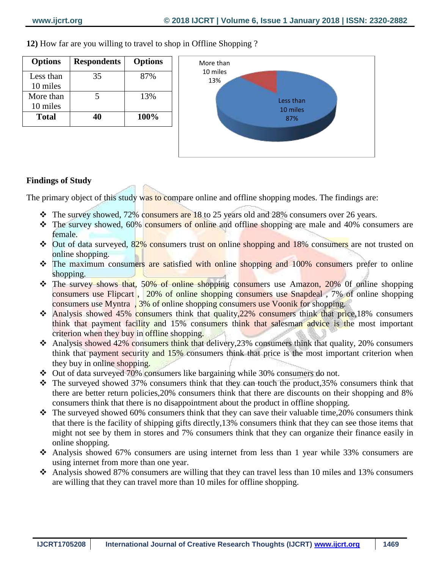**Options Respondents Options** Less than 10 miles 35 87% More than 10 miles  $5 \t 13\%$ **Total 40 100%**

**12)** How far are you willing to travel to shop in Offline Shopping ?



## **Findings of Study**

The primary object of this study was to compare online and offline shopping modes. The findings are:

- $\cdot \cdot$  The survey showed, 72% consumers are 18 to 25 years old and 28% consumers over 26 years.
- The survey showed, 60% consumers of online and offline shopping are male and 40% consumers are female.
- **↓** Out of data surveyed, 82% consumers trust on online shopping and 18% consumers are not trusted on online shopping.
- The maximum consumers are satisfied with online shopping and 100% consumers prefer to online shopping.
- The survey shows that, 50% of online shopping consumers use Amazon, 20% of online shopping consumers use Flipcart , 20% of online shopping consumers use Snapdeal , 7% of online shopping consumers use Myntra , 3% of online shopping consumers use Voonik for shopping.
- $\cdot$  Analysis showed 45% consumers think that quality, 22% consumers think that price, 18% consumers think that payment facility and 15% consumers think that salesman advice is the most important criterion when they buy in offline shopping.
- Analysis showed 42% consumers think that delivery,23% consumers think that quality, 20% consumers think that payment security and 15% consumers think that price is the most important criterion when they buy in online shopping.
- Out of data surveyed 70% consumers like bargaining while 30% consumers do not.
- $\cdot$  The surveyed showed 37% consumers think that they can touch the product, 35% consumers think that there are better return policies,20% consumers think that there are discounts on their shopping and 8% consumers think that there is no disappointment about the product in offline shopping.
- $\cdot \cdot$  The surveyed showed 60% consumers think that they can save their valuable time, 20% consumers think that there is the facility of shipping gifts directly,13% consumers think that they can see those items that might not see by them in stores and 7% consumers think that they can organize their finance easily in online shopping.
- Analysis showed 67% consumers are using internet from less than 1 year while 33% consumers are using internet from more than one year.
- $\triangle$  Analysis showed 87% consumers are willing that they can travel less than 10 miles and 13% consumers are willing that they can travel more than 10 miles for offline shopping.